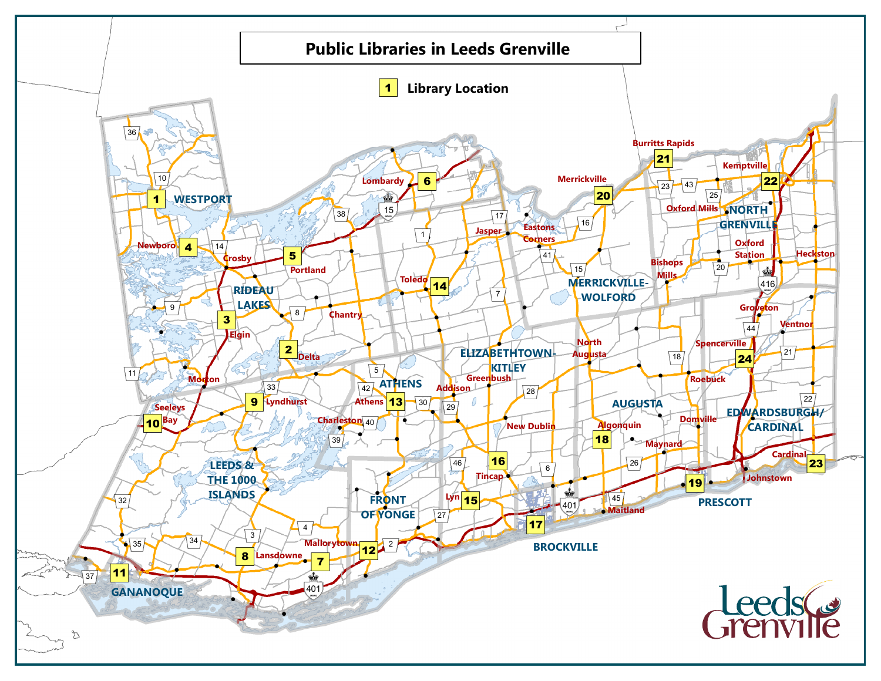